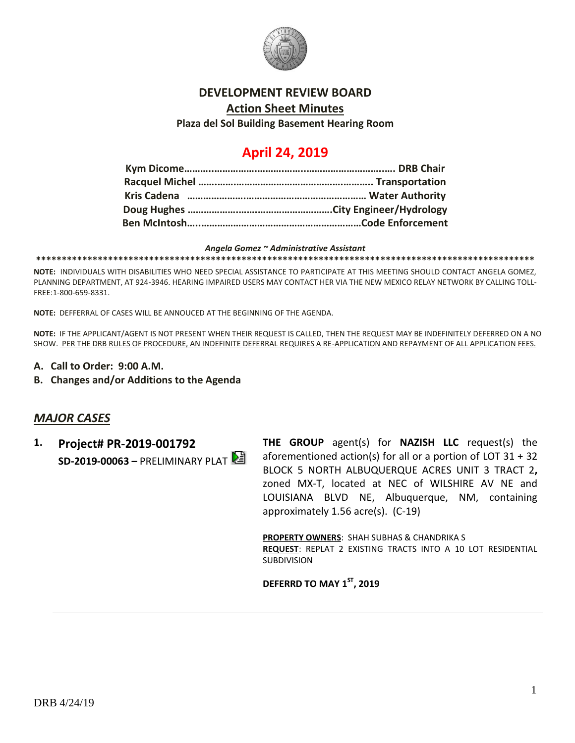

#### **DEVELOPMENT REVIEW BOARD**

**Action Sheet Minutes**

**Plaza del Sol Building Basement Hearing Room**

# **April 24, 2019**

#### *Angela Gomez ~ Administrative Assistant*

**\*\*\*\*\*\*\*\*\*\*\*\*\*\*\*\*\*\*\*\*\*\*\*\*\*\*\*\*\*\*\*\*\*\*\*\*\*\*\*\*\*\*\*\*\*\*\*\*\*\*\*\*\*\*\*\*\*\*\*\*\*\*\*\*\*\*\*\*\*\*\*\*\*\*\*\*\*\*\*\*\*\*\*\*\*\*\*\*\*\*\*\*\*\*\*\*\***

**NOTE:** INDIVIDUALS WITH DISABILITIES WHO NEED SPECIAL ASSISTANCE TO PARTICIPATE AT THIS MEETING SHOULD CONTACT ANGELA GOMEZ, PLANNING DEPARTMENT, AT 924-3946. HEARING IMPAIRED USERS MAY CONTACT HER VIA THE NEW MEXICO RELAY NETWORK BY CALLING TOLL-FREE:1-800-659-8331.

**NOTE:** DEFFERRAL OF CASES WILL BE ANNOUCED AT THE BEGINNING OF THE AGENDA.

**NOTE:** IF THE APPLICANT/AGENT IS NOT PRESENT WHEN THEIR REQUEST IS CALLED, THEN THE REQUEST MAY BE INDEFINITELY DEFERRED ON A NO SHOW. PER THE DRB RULES OF PROCEDURE, AN INDEFINITE DEFERRAL REQUIRES A RE-APPLICATION AND REPAYMENT OF ALL APPLICATION FEES.

- **A. Call to Order: 9:00 A.M.**
- **B. Changes and/or Additions to the Agenda**

# *MAJOR CASES*

**1. Project# PR-2019-001792 SD-2019-00063 –** PRELIMINARY PLAT **THE GROUP** agent(s) for **NAZISH LLC** request(s) the aforementioned action(s) for all or a portion of LOT 31 + 32 BLOCK 5 NORTH ALBUQUERQUE ACRES UNIT 3 TRACT 2**,**  zoned MX-T, located at NEC of WILSHIRE AV NE and LOUISIANA BLVD NE, Albuquerque, NM, containing approximately 1.56 acre(s). (C-19)

**PROPERTY OWNERS**: SHAH SUBHAS & CHANDRIKA S **REQUEST**: REPLAT 2 EXISTING TRACTS INTO A 10 LOT RESIDENTIAL SUBDIVISION

**DEFERRD TO MAY 1ST, 2019**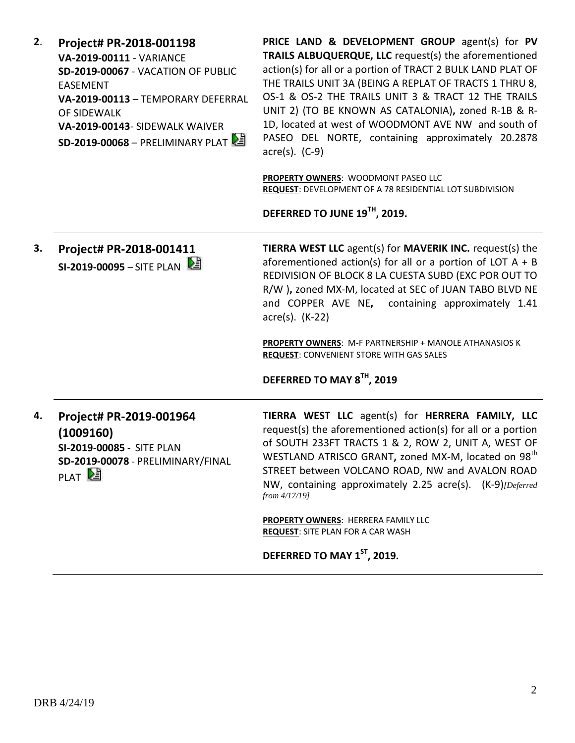| 2. | Project# PR-2018-001198            |
|----|------------------------------------|
|    | <b>VA-2019-00111 - VARIANCE</b>    |
|    | SD-2019-00067 - VACATION OF PUBLIC |
|    | FASFMFNT                           |
|    | VA-2019-00113 - TEMPORARY DEFERRAL |
|    | OF SIDFWALK                        |
|    | VA-2019-00143- SIDEWALK WAIVER     |
|    | $SD-2019-00068 - PRELIMINARY PLAT$ |

**PRICE LAND & DEVELOPMENT GROUP** agent(s) for **PV TRAILS ALBUQUERQUE, LLC** request(s) the aforementioned action(s) for all or a portion of TRACT 2 BULK LAND PLAT OF THE TRAILS UNIT 3A (BEING A REPLAT OF TRACTS 1 THRU 8, OS-1 & OS-2 THE TRAILS UNIT 3 & TRACT 12 THE TRAILS UNIT 2) (TO BE KNOWN AS CATALONIA)**,** zoned R-1B & R-1D, located at west of WOODMONT AVE NW and south of PASEO DEL NORTE, containing approximately 20.2878 acre(s). (C-9)

**PROPERTY OWNERS**: WOODMONT PASEO LLC **REQUEST**: DEVELOPMENT OF A 78 RESIDENTIAL LOT SUBDIVISION

**DEFERRED TO JUNE 19TH, 2019.**

**3. Project# PR-2018-001411 SI-2019-00095 – SITE PLAN**  $\frac{1}{2}$  **TIERRA WEST LLC** agent(s) for **MAVERIK INC.** request(s) the aforementioned action(s) for all or a portion of LOT  $A + B$ REDIVISION OF BLOCK 8 LA CUESTA SUBD (EXC POR OUT TO R/W )**,** zoned MX-M, located at SEC of JUAN TABO BLVD NE and COPPER AVE NE**,** containing approximately 1.41 acre(s). (K-22)

**PROPERTY OWNERS**: M-F PARTNERSHIP + MANOLE ATHANASIOS K **REQUEST**: CONVENIENT STORE WITH GAS SALES

#### **DEFERRED TO MAY 8TH, 2019**

**4. Project# PR-2019-001964 (1009160) SI-2019-00085 -** SITE PLAN **SD-2019-00078** - PRELIMINARY/FINAL PLAT<sup>[2]</sup>

**TIERRA WEST LLC** agent(s) for **HERRERA FAMILY, LLC** request(s) the aforementioned action(s) for all or a portion of SOUTH 233FT TRACTS 1 & 2, ROW 2, UNIT A, WEST OF WESTLAND ATRISCO GRANT, zoned MX-M, located on 98<sup>th</sup> STREET between VOLCANO ROAD, NW and AVALON ROAD NW, containing approximately 2.25 acre(s). (K-9)*[Deferred from 4/17/19]*

**PROPERTY OWNERS**: HERRERA FAMILY LLC **REQUEST**: SITE PLAN FOR A CAR WASH

**DEFERRED TO MAY 1ST, 2019.**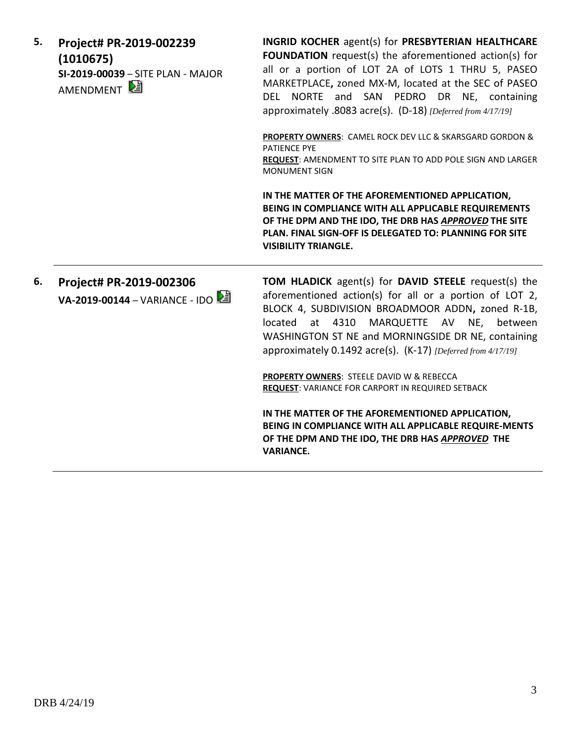| 5. | Project# PR-2019-002239<br>(1010675)<br>SI-2019-00039 - SITE PLAN - MAJOR<br>AMENDMENT <sup>[2</sup> | INGRID KOCHER agent(s) for PRESBYTERIAN HEALTHCARE<br>FOUNDATION request(s) the aforementioned action(s) for<br>all or a portion of LOT 2A of LOTS 1 THRU 5, PASEO<br>MARKETPLACE, zoned MX-M, located at the SEC of PASEO<br>DEL NORTE and SAN PEDRO DR NE, containing<br>approximately .8083 acre(s). (D-18) [Deferred from 4/17/19] |
|----|------------------------------------------------------------------------------------------------------|----------------------------------------------------------------------------------------------------------------------------------------------------------------------------------------------------------------------------------------------------------------------------------------------------------------------------------------|
|    |                                                                                                      | PROPERTY OWNERS: CAMEL ROCK DEV LLC & SKARSGARD GORDON &<br><b>PATIENCE PYE</b><br>REQUEST: AMENDMENT TO SITE PLAN TO ADD POLE SIGN AND LARGER<br><b>MONUMENT SIGN</b>                                                                                                                                                                 |
|    |                                                                                                      | IN THE MATTER OF THE AFOREMENTIONED APPLICATION,<br>BEING IN COMPLIANCE WITH ALL APPLICABLE REQUIREMENTS<br>OF THE DPM AND THE IDO, THE DRB HAS APPROVED THE SITE<br>PLAN. FINAL SIGN-OFF IS DELEGATED TO: PLANNING FOR SITE<br><b>VISIBILITY TRIANGLE.</b>                                                                            |
| 6. | Project# PR-2019-002306<br>VA-2019-00144 - VARIANCE - IDO                                            | TOM HLADICK agent(s) for DAVID STEELE request(s) the<br>aforementioned action(s) for all or a portion of LOT 2,<br>BLOCK 4, SUBDIVISION BROADMOOR ADDN, zoned R-1B,<br>located at 4310 MARQUETTE AV NE, between<br>WASHINGTON ST NE and MORNINGSIDE DR NE, containing<br>approximately 0.1492 acre(s). (K-17) [Deferred from 4/17/19]  |
|    |                                                                                                      | PROPERTY OWNERS: STEELE DAVID W & REBECCA<br><b>REQUEST: VARIANCE FOR CARPORT IN REQUIRED SETBACK</b>                                                                                                                                                                                                                                  |
|    |                                                                                                      | IN THE MATTER OF THE AFOREMENTIONED APPLICATION,<br>BEING IN COMPLIANCE WITH ALL APPLICABLE REQUIRE-MENTS<br>OF THE DPM AND THE IDO, THE DRB HAS APPROVED THE<br><b>VARIANCE.</b>                                                                                                                                                      |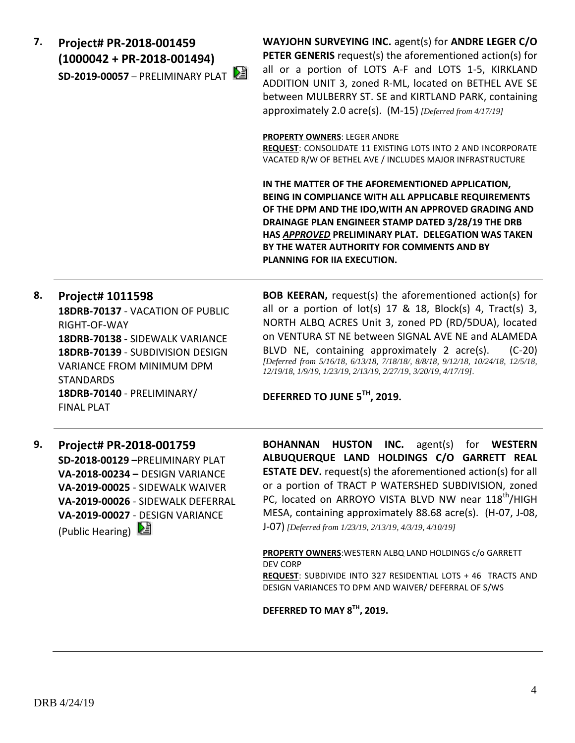**7. Project# PR-2018-001459 (1000042 + PR-2018-001494) SD-2019-00057** – PRELIMINARY PLAT **WAYJOHN SURVEYING INC.** agent(s) for **ANDRE LEGER C/O PETER GENERIS** request(s) the aforementioned action(s) for all or a portion of LOTS A-F and LOTS 1-5, KIRKLAND ADDITION UNIT 3, zoned R-ML, located on BETHEL AVE SE between MULBERRY ST. SE and KIRTLAND PARK, containing approximately 2.0 acre(s). (M-15) *[Deferred from 4/17/19]*

**PROPERTY OWNERS**: LEGER ANDRE

**REQUEST**: CONSOLIDATE 11 EXISTING LOTS INTO 2 AND INCORPORATE VACATED R/W OF BETHEL AVE / INCLUDES MAJOR INFRASTRUCTURE

**IN THE MATTER OF THE AFOREMENTIONED APPLICATION, BEING IN COMPLIANCE WITH ALL APPLICABLE REQUIREMENTS OF THE DPM AND THE IDO,WITH AN APPROVED GRADING AND DRAINAGE PLAN ENGINEER STAMP DATED 3/28/19 THE DRB HAS** *APPROVED* **PRELIMINARY PLAT. DELEGATION WAS TAKEN BY THE WATER AUTHORITY FOR COMMENTS AND BY PLANNING FOR IIA EXECUTION.**

### **8. Project# 1011598**

**18DRB-70137** - VACATION OF PUBLIC RIGHT-OF-WAY **18DRB-70138** - SIDEWALK VARIANCE **18DRB-70139** - SUBDIVISION DESIGN VARIANCE FROM MINIMUM DPM STANDARDS **18DRB-70140** - PRELIMINARY/ FINAL PLAT

**BOB KEERAN,** request(s) the aforementioned action(s) for all or a portion of  $lot(s)$  17 & 18, Block(s) 4, Tract(s) 3, NORTH ALBQ ACRES Unit 3, zoned PD (RD/5DUA), located on VENTURA ST NE between SIGNAL AVE NE and ALAMEDA BLVD NE, containing approximately 2 acre(s). (C-20) *[Deferred from 5/16/18, 6/13/18, 7/18/18/, 8/8/18, 9/12/18, 10/24/18, 12/5/18, 12/19/18, 1/9/19, 1/23/19, 2/13/19, 2/27/19, 3/20/19, 4/17/19].*

**DEFERRED TO JUNE 5TH, 2019.**

**9. Project# PR-2018-001759 SD-2018-00129 –**PRELIMINARY PLAT **VA-2018-00234 –** DESIGN VARIANCE **VA-2019-00025** - SIDEWALK WAIVER **VA-2019-00026** - SIDEWALK DEFERRAL **VA-2019-00027** - DESIGN VARIANCE (Public Hearing)

**BOHANNAN HUSTON INC.** agent(s) for **WESTERN ALBUQUERQUE LAND HOLDINGS C/O GARRETT REAL ESTATE DEV.** request(s) the aforementioned action(s) for all or a portion of TRACT P WATERSHED SUBDIVISION, zoned PC, located on ARROYO VISTA BLVD NW near 118<sup>th</sup>/HIGH MESA, containing approximately 88.68 acre(s). (H-07, J-08, J-07) *[Deferred from 1/23/19, 2/13/19, 4/3/19, 4/10/19]*

**PROPERTY OWNERS**:WESTERN ALBQ LAND HOLDINGS c/o GARRETT DEV CORP **REQUEST**: SUBDIVIDE INTO 327 RESIDENTIAL LOTS + 46 TRACTS AND DESIGN VARIANCES TO DPM AND WAIVER/ DEFERRAL OF S/WS

**DEFERRED TO MAY 8TH, 2019.**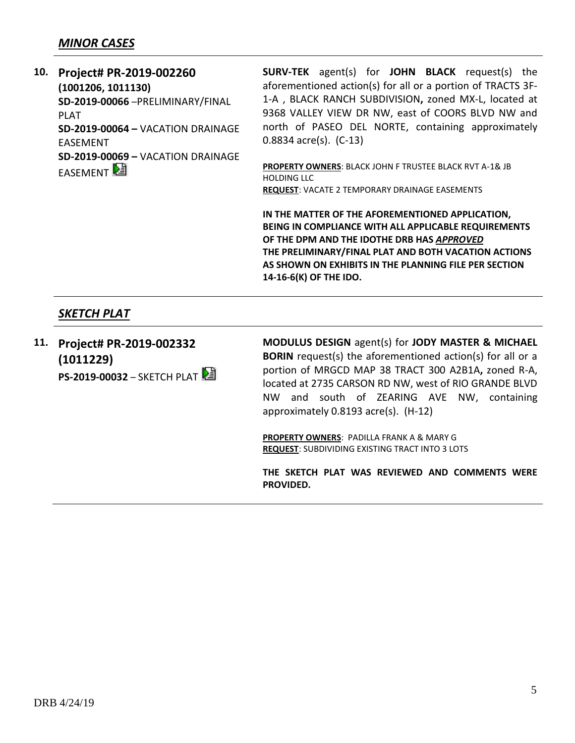# *MINOR CASES*

**10. Project# PR-2019-002260 (1001206, 1011130) SD-2019-00066** –PRELIMINARY/FINAL PLAT **SD-2019-00064 –** VACATION DRAINAGE EASEMENT **SD-2019-00069 –** VACATION DRAINAGE **EASEMENT** 

**SURV-TEK** agent(s) for **JOHN BLACK** request(s) the aforementioned action(s) for all or a portion of TRACTS 3F-1-A , BLACK RANCH SUBDIVISION**,** zoned MX-L, located at 9368 VALLEY VIEW DR NW, east of COORS BLVD NW and north of PASEO DEL NORTE, containing approximately 0.8834 acre(s). (C-13)

**PROPERTY OWNERS**: BLACK JOHN F TRUSTEE BLACK RVT A-1& JB HOLDING LLC **REQUEST**: VACATE 2 TEMPORARY DRAINAGE EASEMENTS

**IN THE MATTER OF THE AFOREMENTIONED APPLICATION, BEING IN COMPLIANCE WITH ALL APPLICABLE REQUIREMENTS OF THE DPM AND THE IDOTHE DRB HAS** *APPROVED* **THE PRELIMINARY/FINAL PLAT AND BOTH VACATION ACTIONS AS SHOWN ON EXHIBITS IN THE PLANNING FILE PER SECTION 14-16-6(K) OF THE IDO.** 

# *SKETCH PLAT*

**11. Project# PR-2019-002332 (1011229) PS-2019-00032** – SKETCH PLAT **MODULUS DESIGN** agent(s) for **JODY MASTER & MICHAEL BORIN** request(s) the aforementioned action(s) for all or a portion of MRGCD MAP 38 TRACT 300 A2B1A**,** zoned R-A, located at 2735 CARSON RD NW, west of RIO GRANDE BLVD NW and south of ZEARING AVE NW, containing approximately 0.8193 acre(s). (H-12)

**PROPERTY OWNERS**: PADILLA FRANK A & MARY G **REQUEST**: SUBDIVIDING EXISTING TRACT INTO 3 LOTS

**THE SKETCH PLAT WAS REVIEWED AND COMMENTS WERE PROVIDED.**